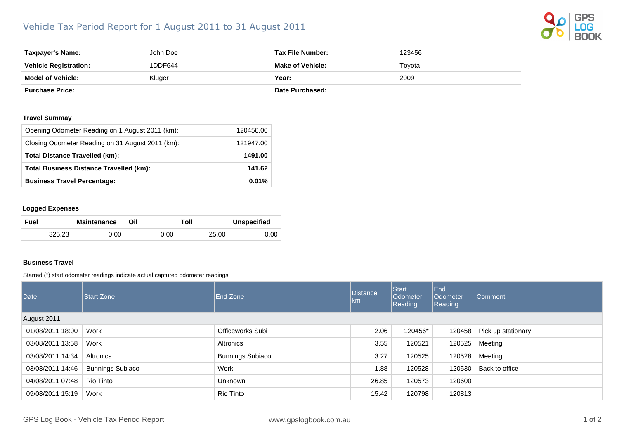## Vehicle Tax Period Report for 1 August 2011 to 31 August 2011



| Taxpayer's Name:             | John Doe | Tax File Number:        | 123456 |
|------------------------------|----------|-------------------------|--------|
| <b>Vehicle Registration:</b> | 1DDF644  | <b>Make of Vehicle:</b> | Tovota |
| <b>Model of Vehicle:</b>     | Kluger   | Year:                   | 2009   |
| <b>Purchase Price:</b>       |          | <b>Date Purchased:</b>  |        |

## **Travel Summay**

| Opening Odometer Reading on 1 August 2011 (km):  | 120456.00 |
|--------------------------------------------------|-----------|
| Closing Odometer Reading on 31 August 2011 (km): | 121947.00 |
| <b>Total Distance Travelled (km):</b>            | 1491.00   |
| <b>Total Business Distance Travelled (km):</b>   | 141.62    |
| <b>Business Travel Percentage:</b>               | 0.01%     |

## **Logged Expenses**

| Fuel   | <b>Maintenance</b> | Oil  | Toll  | <b>Unspecified</b> |
|--------|--------------------|------|-------|--------------------|
| 325.23 | J.OO               | 0.00 | 25.00 | 0.OC               |

## **Business Travel**

Starred (\*) start odometer readings indicate actual captured odometer readings

| Date             | Start Zone              | <b>End Zone</b>         | <b>Distance</b><br>km. | <b>Start</b><br>Odometer<br>Reading | End<br>Odometer<br>Reading | Comment            |
|------------------|-------------------------|-------------------------|------------------------|-------------------------------------|----------------------------|--------------------|
| August 2011      |                         |                         |                        |                                     |                            |                    |
| 01/08/2011 18:00 | Work                    | <b>Officeworks Subi</b> | 2.06                   | 120456*                             | 120458                     | Pick up stationary |
| 03/08/2011 13:58 | Work                    | Altronics               | 3.55                   | 120521                              | 120525                     | Meeting            |
| 03/08/2011 14:34 | Altronics               | <b>Bunnings Subiaco</b> | 3.27                   | 120525                              | 120528                     | Meeting            |
| 03/08/2011 14:46 | <b>Bunnings Subiaco</b> | Work                    | 1.88                   | 120528                              | 120530                     | Back to office     |
| 04/08/2011 07:48 | Rio Tinto               | <b>Unknown</b>          | 26.85                  | 120573                              | 120600                     |                    |
| 09/08/2011 15:19 | Work                    | Rio Tinto               | 15.42                  | 120798                              | 120813                     |                    |